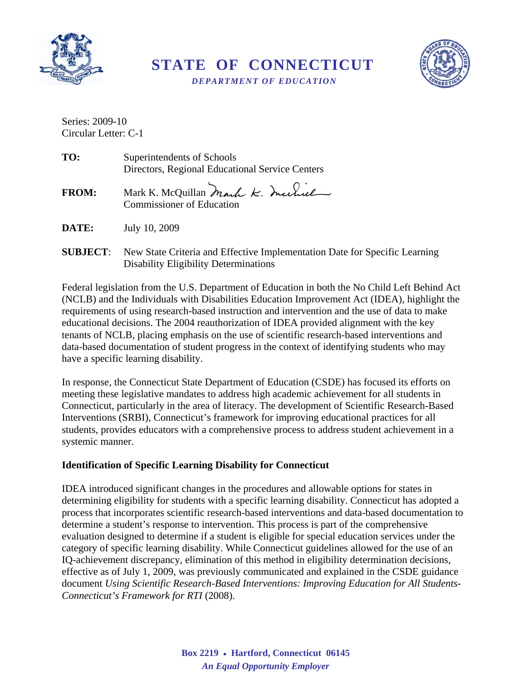

**STATE OF CONNECTICUT**   *DEPARTMENT OF EDUCATION* 



Series: 2009-10 Circular Letter: C-1

| TO:          | Superintendents of Schools<br>Directors, Regional Educational Service Centers |
|--------------|-------------------------------------------------------------------------------|
| <b>FROM:</b> | Mark K. McQuillan Mark K. Inchiel<br><b>Commissioner of Education</b>         |
| <b>DATE:</b> | July 10, 2009                                                                 |

**SUBJECT:** New State Criteria and Effective Implementation Date for Specific Learning Disability Eligibility Determinations

Federal legislation from the U.S. Department of Education in both the No Child Left Behind Act (NCLB) and the Individuals with Disabilities Education Improvement Act (IDEA), highlight the requirements of using research-based instruction and intervention and the use of data to make educational decisions. The 2004 reauthorization of IDEA provided alignment with the key tenants of NCLB, placing emphasis on the use of scientific research-based interventions and data-based documentation of student progress in the context of identifying students who may have a specific learning disability.

 systemic manner. In response, the Connecticut State Department of Education (CSDE) has focused its efforts on meeting these legislative mandates to address high academic achievement for all students in Connecticut, particularly in the area of literacy. The development of Scientific Research-Based Interventions (SRBI), Connecticut's framework for improving educational practices for all students, provides educators with a comprehensive process to address student achievement in a

## **Identification of Specific Learning Disability for Connecticut**

IDEA introduced significant changes in the procedures and allowable options for states in determining eligibility for students with a specific learning disability. Connecticut has adopted a process that incorporates scientific research-based interventions and data-based documentation to determine a student's response to intervention. This process is part of the comprehensive evaluation designed to determine if a student is eligible for special education services under the category of specific learning disability. While Connecticut guidelines allowed for the use of an IQ-achievement discrepancy, elimination of this method in eligibility determination decisions, effective as of July 1, 2009, was previously communicated and explained in the CSDE guidance document *Using Scientific Research-Based Interventions: Improving Education for All Students-Connecticut's Framework for RTI* (2008).